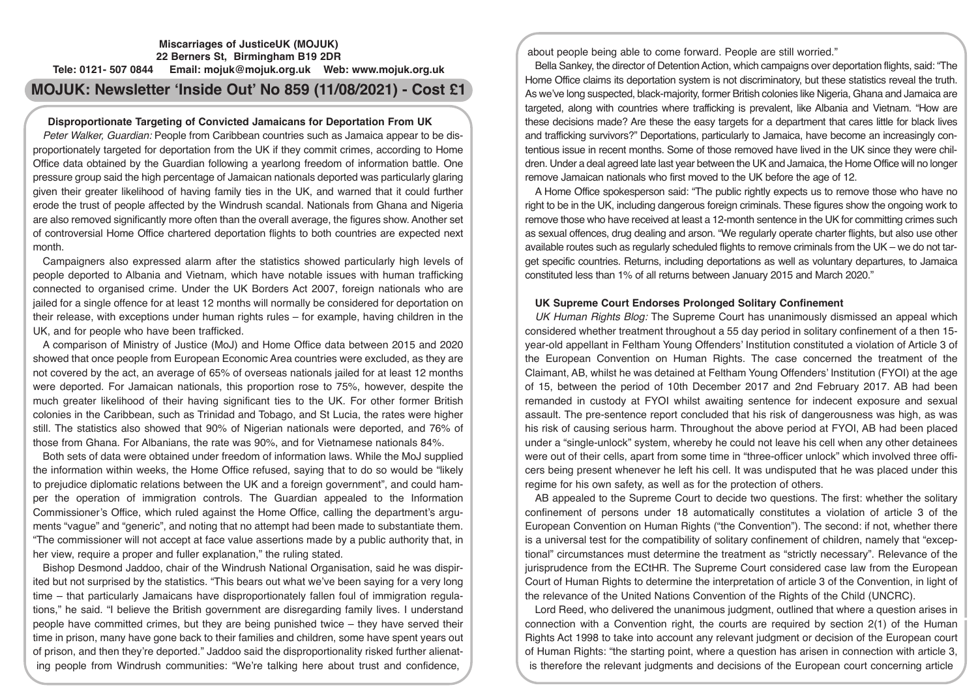# **Miscarriages of JusticeUK (MOJUK) 22 Berners St, Birmingham B19 2DR Tele: 0121- 507 0844 Email: mojuk@mojuk.org.uk Web: www.mojuk.org.uk**

# **MOJUK: Newsletter 'Inside Out' No 859 (11/08/2021) - Cost £1**

# **Disproportionate Targeting of Convicted Jamaicans for Deportation From UK**

*Peter Walker, Guardian:* People from Caribbean countries such as Jamaica appear to be disproportionately targeted for deportation from the UK if they commit crimes, according to Home Office data obtained by the Guardian following a yearlong freedom of information battle. One pressure group said the high percentage of Jamaican nationals deported was particularly glaring given their greater likelihood of having family ties in the UK, and warned that it could further erode the trust of people affected by the Windrush scandal. Nationals from Ghana and Nigeria are also removed significantly more often than the overall average, the figures show. Another set of controversial Home Office chartered deportation flights to both countries are expected next month.

Campaigners also expressed alarm after the statistics showed particularly high levels of people deported to Albania and Vietnam, which have notable issues with human trafficking connected to organised crime. Under the UK Borders Act 2007, foreign nationals who are jailed for a single offence for at least 12 months will normally be considered for deportation on their release, with exceptions under human rights rules – for example, having children in the UK, and for people who have been trafficked.

A comparison of Ministry of Justice (MoJ) and Home Office data between 2015 and 2020 showed that once people from European Economic Area countries were excluded, as they are not covered by the act, an average of 65% of overseas nationals jailed for at least 12 months were deported. For Jamaican nationals, this proportion rose to 75%, however, despite the much greater likelihood of their having significant ties to the UK. For other former British colonies in the Caribbean, such as Trinidad and Tobago, and St Lucia, the rates were higher still. The statistics also showed that 90% of Nigerian nationals were deported, and 76% of those from Ghana. For Albanians, the rate was 90%, and for Vietnamese nationals 84%.

Both sets of data were obtained under freedom of information laws. While the MoJ supplied the information within weeks, the Home Office refused, saying that to do so would be "likely to prejudice diplomatic relations between the UK and a foreign government", and could hamper the operation of immigration controls. The Guardian appealed to the Information Commissioner's Office, which ruled against the Home Office, calling the department's arguments "vague" and "generic", and noting that no attempt had been made to substantiate them. "The commissioner will not accept at face value assertions made by a public authority that, in her view, require a proper and fuller explanation," the ruling stated.

Bishop Desmond Jaddoo, chair of the Windrush National Organisation, said he was dispirited but not surprised by the statistics. "This bears out what we've been saying for a very long time – that particularly Jamaicans have disproportionately fallen foul of immigration regulations," he said. "I believe the British government are disregarding family lives. I understand people have committed crimes, but they are being punished twice – they have served their time in prison, many have gone back to their families and children, some have spent years out of prison, and then they're deported." Jaddoo said the disproportionality risked further alienating people from Windrush communities: "We're talking here about trust and confidence,

about people being able to come forward. People are still worried."

Bella Sankey, the director of Detention Action, which campaigns over deportation flights, said: "The Home Office claims its deportation system is not discriminatory, but these statistics reveal the truth. As we've long suspected, black-majority, former British colonies like Nigeria, Ghana and Jamaica are targeted, along with countries where trafficking is prevalent, like Albania and Vietnam. "How are these decisions made? Are these the easy targets for a department that cares little for black lives and trafficking survivors?" Deportations, particularly to Jamaica, have become an increasingly contentious issue in recent months. Some of those removed have lived in the UK since they were children. Under a deal agreed late last year between the UK and Jamaica, the Home Office will no longer remove Jamaican nationals who first moved to the UK before the age of 12.

A Home Office spokesperson said: "The public rightly expects us to remove those who have no right to be in the UK, including dangerous foreign criminals. These figures show the ongoing work to remove those who have received at least a 12-month sentence in the UK for committing crimes such as sexual offences, drug dealing and arson. "We regularly operate charter flights, but also use other available routes such as regularly scheduled flights to remove criminals from the UK – we do not target specific countries. Returns, including deportations as well as voluntary departures, to Jamaica constituted less than 1% of all returns between January 2015 and March 2020."

# **UK Supreme Court Endorses Prolonged Solitary Confinement**

*UK Human Rights Blog:* The Supreme Court has unanimously dismissed an appeal which considered whether treatment throughout a 55 day period in solitary confinement of a then 15 year-old appellant in Feltham Young Offenders' Institution constituted a violation of Article 3 of the European Convention on Human Rights. The case concerned the treatment of the Claimant, AB, whilst he was detained at Feltham Young Offenders' Institution (FYOI) at the age of 15, between the period of 10th December 2017 and 2nd February 2017. AB had been remanded in custody at FYOI whilst awaiting sentence for indecent exposure and sexual assault. The pre-sentence report concluded that his risk of dangerousness was high, as was his risk of causing serious harm. Throughout the above period at FYOI, AB had been placed under a "single-unlock" system, whereby he could not leave his cell when any other detainees were out of their cells, apart from some time in "three-officer unlock" which involved three officers being present whenever he left his cell. It was undisputed that he was placed under this regime for his own safety, as well as for the protection of others.

AB appealed to the Supreme Court to decide two questions. The first: whether the solitary confinement of persons under 18 automatically constitutes a violation of article 3 of the European Convention on Human Rights ("the Convention"). The second: if not, whether there is a universal test for the compatibility of solitary confinement of children, namely that "exceptional" circumstances must determine the treatment as "strictly necessary". Relevance of the jurisprudence from the ECtHR. The Supreme Court considered case law from the European Court of Human Rights to determine the interpretation of article 3 of the Convention, in light of the relevance of the United Nations Convention of the Rights of the Child (UNCRC).

Lord Reed, who delivered the unanimous judgment, outlined that where a question arises in connection with a Convention right, the courts are required by section 2(1) of the Human Rights Act 1998 to take into account any relevant judgment or decision of the European court of Human Rights: "the starting point, where a question has arisen in connection with article 3, is therefore the relevant judgments and decisions of the European court concerning article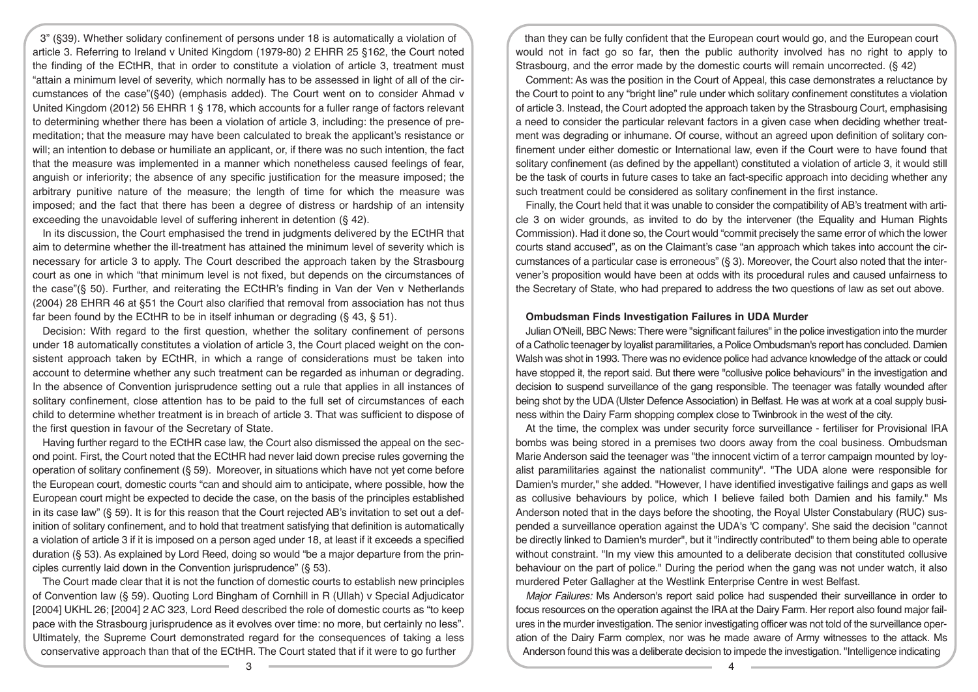3" (§39). Whether solidary confinement of persons under 18 is automatically a violation of article 3. Referring to Ireland v United Kingdom (1979-80) 2 EHRR 25 §162, the Court noted the finding of the ECtHR, that in order to constitute a violation of article 3, treatment must "attain a minimum level of severity, which normally has to be assessed in light of all of the circumstances of the case"(§40) (emphasis added). The Court went on to consider Ahmad v United Kingdom (2012) 56 EHRR 1 § 178, which accounts for a fuller range of factors relevant to determining whether there has been a violation of article 3, including: the presence of premeditation; that the measure may have been calculated to break the applicant's resistance or will; an intention to debase or humiliate an applicant, or, if there was no such intention, the fact that the measure was implemented in a manner which nonetheless caused feelings of fear, anguish or inferiority; the absence of any specific justification for the measure imposed; the arbitrary punitive nature of the measure; the length of time for which the measure was imposed; and the fact that there has been a degree of distress or hardship of an intensity exceeding the unavoidable level of suffering inherent in detention (§ 42).

In its discussion, the Court emphasised the trend in judgments delivered by the ECtHR that aim to determine whether the ill-treatment has attained the minimum level of severity which is necessary for article 3 to apply. The Court described the approach taken by the Strasbourg court as one in which "that minimum level is not fixed, but depends on the circumstances of the case"(§ 50). Further, and reiterating the ECtHR's finding in Van der Ven v Netherlands (2004) 28 EHRR 46 at §51 the Court also clarified that removal from association has not thus far been found by the ECtHR to be in itself inhuman or degrading  $(§\;43, \;§\;51)$ .

Decision: With regard to the first question, whether the solitary confinement of persons under 18 automatically constitutes a violation of article 3, the Court placed weight on the consistent approach taken by ECtHR, in which a range of considerations must be taken into account to determine whether any such treatment can be regarded as inhuman or degrading. In the absence of Convention jurisprudence setting out a rule that applies in all instances of solitary confinement, close attention has to be paid to the full set of circumstances of each child to determine whether treatment is in breach of article 3. That was sufficient to dispose of the first question in favour of the Secretary of State.

Having further regard to the ECtHR case law, the Court also dismissed the appeal on the second point. First, the Court noted that the ECtHR had never laid down precise rules governing the operation of solitary confinement (§ 59). Moreover, in situations which have not yet come before the European court, domestic courts "can and should aim to anticipate, where possible, how the European court might be expected to decide the case, on the basis of the principles established in its case law" (§ 59). It is for this reason that the Court rejected AB's invitation to set out a definition of solitary confinement, and to hold that treatment satisfying that definition is automatically a violation of article 3 if it is imposed on a person aged under 18, at least if it exceeds a specified duration (§ 53). As explained by Lord Reed, doing so would "be a major departure from the principles currently laid down in the Convention jurisprudence" (§ 53).

The Court made clear that it is not the function of domestic courts to establish new principles of Convention law (§ 59). Quoting Lord Bingham of Cornhill in R (Ullah) v Special Adjudicator [2004] UKHL 26; [2004] 2 AC 323, Lord Reed described the role of domestic courts as "to keep pace with the Strasbourg jurisprudence as it evolves over time: no more, but certainly no less". Ultimately, the Supreme Court demonstrated regard for the consequences of taking a less conservative approach than that of the ECtHR. The Court stated that if it were to go further

than they can be fully confident that the European court would go, and the European court would not in fact go so far, then the public authority involved has no right to apply to Strasbourg, and the error made by the domestic courts will remain uncorrected. (§ 42)

Comment: As was the position in the Court of Appeal, this case demonstrates a reluctance by the Court to point to any "bright line" rule under which solitary confinement constitutes a violation of article 3. Instead, the Court adopted the approach taken by the Strasbourg Court, emphasising a need to consider the particular relevant factors in a given case when deciding whether treatment was degrading or inhumane. Of course, without an agreed upon definition of solitary confinement under either domestic or International law, even if the Court were to have found that solitary confinement (as defined by the appellant) constituted a violation of article 3, it would still be the task of courts in future cases to take an fact-specific approach into deciding whether any such treatment could be considered as solitary confinement in the first instance.

Finally, the Court held that it was unable to consider the compatibility of AB's treatment with article 3 on wider grounds, as invited to do by the intervener (the Equality and Human Rights Commission). Had it done so, the Court would "commit precisely the same error of which the lower courts stand accused", as on the Claimant's case "an approach which takes into account the circumstances of a particular case is erroneous" (§ 3). Moreover, the Court also noted that the intervener's proposition would have been at odds with its procedural rules and caused unfairness to the Secretary of State, who had prepared to address the two questions of law as set out above.

# **Ombudsman Finds Investigation Failures in UDA Murder**

Julian O'Neill, BBC News: There were "significant failures" in the police investigation into the murder of a Catholic teenager by loyalist paramilitaries, a Police Ombudsman's report has concluded. Damien Walsh was shot in 1993. There was no evidence police had advance knowledge of the attack or could have stopped it, the report said. But there were "collusive police behaviours" in the investigation and decision to suspend surveillance of the gang responsible. The teenager was fatally wounded after being shot by the UDA (Ulster Defence Association) in Belfast. He was at work at a coal supply business within the Dairy Farm shopping complex close to Twinbrook in the west of the city.

At the time, the complex was under security force surveillance - fertiliser for Provisional IRA bombs was being stored in a premises two doors away from the coal business. Ombudsman Marie Anderson said the teenager was "the innocent victim of a terror campaign mounted by loyalist paramilitaries against the nationalist community". "The UDA alone were responsible for Damien's murder," she added. "However, I have identified investigative failings and gaps as well as collusive behaviours by police, which I believe failed both Damien and his family." Ms Anderson noted that in the days before the shooting, the Royal Ulster Constabulary (RUC) suspended a surveillance operation against the UDA's 'C company'. She said the decision "cannot be directly linked to Damien's murder", but it "indirectly contributed" to them being able to operate without constraint. "In my view this amounted to a deliberate decision that constituted collusive behaviour on the part of police." During the period when the gang was not under watch, it also murdered Peter Gallagher at the Westlink Enterprise Centre in west Belfast.

*Major Failures:* Ms Anderson's report said police had suspended their surveillance in order to focus resources on the operation against the IRA at the Dairy Farm. Her report also found major failures in the murder investigation. The senior investigating officer was not told of the surveillance operation of the Dairy Farm complex, nor was he made aware of Army witnesses to the attack. Ms Anderson found this was a deliberate decision to impede the investigation. "Intelligence indicating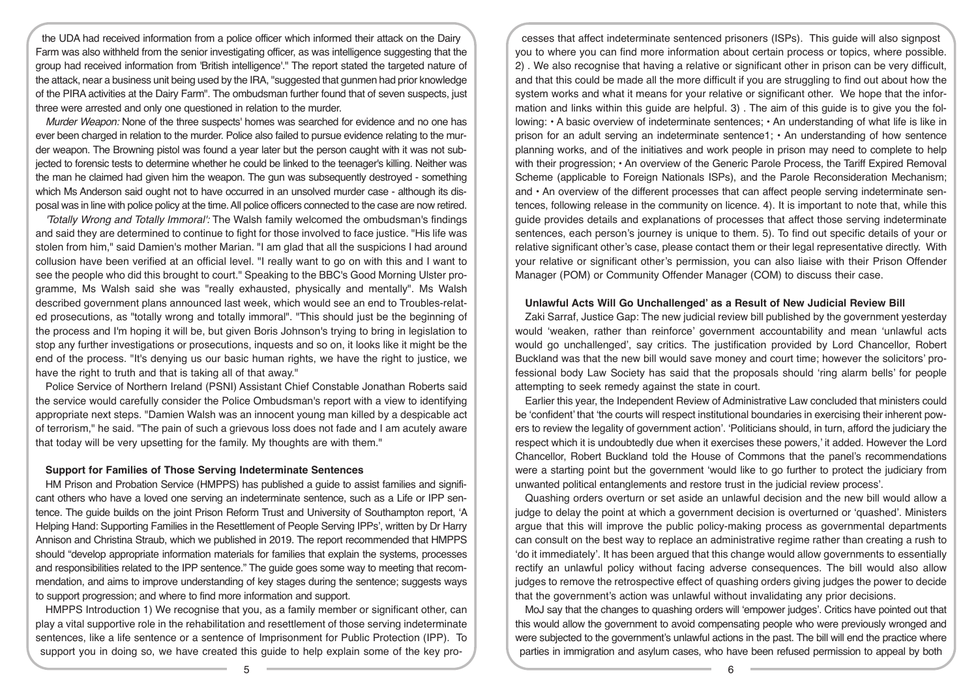the UDA had received information from a police officer which informed their attack on the Dairy Farm was also withheld from the senior investigating officer, as was intelligence suggesting that the group had received information from 'British intelligence'." The report stated the targeted nature of the attack, near a business unit being used by the IRA, "suggested that gunmen had prior knowledge of the PIRA activities at the Dairy Farm". The ombudsman further found that of seven suspects, just three were arrested and only one questioned in relation to the murder.

*Murder Weapon:* None of the three suspects' homes was searched for evidence and no one has ever been charged in relation to the murder. Police also failed to pursue evidence relating to the murder weapon. The Browning pistol was found a year later but the person caught with it was not subjected to forensic tests to determine whether he could be linked to the teenager's killing. Neither was the man he claimed had given him the weapon. The gun was subsequently destroyed - something which Ms Anderson said ought not to have occurred in an unsolved murder case - although its disposal was in line with police policy at the time. All police officers connected to the case are now retired.

*'Totally Wrong and Totally Immoral':* The Walsh family welcomed the ombudsman's findings and said they are determined to continue to fight for those involved to face justice. "His life was stolen from him," said Damien's mother Marian. "I am glad that all the suspicions I had around collusion have been verified at an official level. "I really want to go on with this and I want to see the people who did this brought to court." Speaking to the BBC's Good Morning Ulster programme, Ms Walsh said she was "really exhausted, physically and mentally". Ms Walsh described government plans announced last week, which would see an end to Troubles-related prosecutions, as "totally wrong and totally immoral". "This should just be the beginning of the process and I'm hoping it will be, but given Boris Johnson's trying to bring in legislation to stop any further investigations or prosecutions, inquests and so on, it looks like it might be the end of the process. "It's denying us our basic human rights, we have the right to justice, we have the right to truth and that is taking all of that away."

Police Service of Northern Ireland (PSNI) Assistant Chief Constable Jonathan Roberts said the service would carefully consider the Police Ombudsman's report with a view to identifying appropriate next steps. "Damien Walsh was an innocent young man killed by a despicable act of terrorism," he said. "The pain of such a grievous loss does not fade and I am acutely aware that today will be very upsetting for the family. My thoughts are with them."

#### **Support for Families of Those Serving Indeterminate Sentences**

HM Prison and Probation Service (HMPPS) has published a guide to assist families and significant others who have a loved one serving an indeterminate sentence, such as a Life or IPP sentence. The guide builds on the joint Prison Reform Trust and University of Southampton report, 'A Helping Hand: Supporting Families in the Resettlement of People Serving IPPs', written by Dr Harry Annison and Christina Straub, which we published in 2019. The report recommended that HMPPS should "develop appropriate information materials for families that explain the systems, processes and responsibilities related to the IPP sentence." The guide goes some way to meeting that recommendation, and aims to improve understanding of key stages during the sentence; suggests ways to support progression; and where to find more information and support.

HMPPS Introduction 1) We recognise that you, as a family member or significant other, can play a vital supportive role in the rehabilitation and resettlement of those serving indeterminate sentences, like a life sentence or a sentence of Imprisonment for Public Protection (IPP). To support you in doing so, we have created this guide to help explain some of the key pro-

cesses that affect indeterminate sentenced prisoners (ISPs). This guide will also signpost you to where you can find more information about certain process or topics, where possible. 2) . We also recognise that having a relative or significant other in prison can be very difficult, and that this could be made all the more difficult if you are struggling to find out about how the system works and what it means for your relative or significant other. We hope that the information and links within this guide are helpful. 3) . The aim of this guide is to give you the following: • A basic overview of indeterminate sentences; • An understanding of what life is like in prison for an adult serving an indeterminate sentence1; • An understanding of how sentence planning works, and of the initiatives and work people in prison may need to complete to help with their progression; • An overview of the Generic Parole Process, the Tariff Expired Removal Scheme (applicable to Foreign Nationals ISPs), and the Parole Reconsideration Mechanism; and • An overview of the different processes that can affect people serving indeterminate sentences, following release in the community on licence. 4). It is important to note that, while this guide provides details and explanations of processes that affect those serving indeterminate sentences, each person's journey is unique to them. 5). To find out specific details of your or relative significant other's case, please contact them or their legal representative directly. With your relative or significant other's permission, you can also liaise with their Prison Offender Manager (POM) or Community Offender Manager (COM) to discuss their case.

## **Unlawful Acts Will Go Unchallenged' as a Result of New Judicial Review Bill**

Zaki Sarraf, Justice Gap: The new judicial review bill published by the government yesterday would 'weaken, rather than reinforce' government accountability and mean 'unlawful acts would go unchallenged', say critics. The justification provided by Lord Chancellor, Robert Buckland was that the new bill would save money and court time; however the solicitors' professional body Law Society has said that the proposals should 'ring alarm bells' for people attempting to seek remedy against the state in court.

Earlier this year, the Independent Review of Administrative Law concluded that ministers could be 'confident' that 'the courts will respect institutional boundaries in exercising their inherent powers to review the legality of government action'. 'Politicians should, in turn, afford the judiciary the respect which it is undoubtedly due when it exercises these powers,' it added. However the Lord Chancellor, Robert Buckland told the House of Commons that the panel's recommendations were a starting point but the government 'would like to go further to protect the judiciary from unwanted political entanglements and restore trust in the judicial review process'.

Quashing orders overturn or set aside an unlawful decision and the new bill would allow a judge to delay the point at which a government decision is overturned or 'quashed'. Ministers argue that this will improve the public policy-making process as governmental departments can consult on the best way to replace an administrative regime rather than creating a rush to 'do it immediately'. It has been argued that this change would allow governments to essentially rectify an unlawful policy without facing adverse consequences. The bill would also allow judges to remove the retrospective effect of quashing orders giving judges the power to decide that the government's action was unlawful without invalidating any prior decisions.

MoJ say that the changes to quashing orders will 'empower judges'. Critics have pointed out that this would allow the government to avoid compensating people who were previously wronged and were subjected to the government's unlawful actions in the past. The bill will end the practice where parties in immigration and asylum cases, who have been refused permission to appeal by both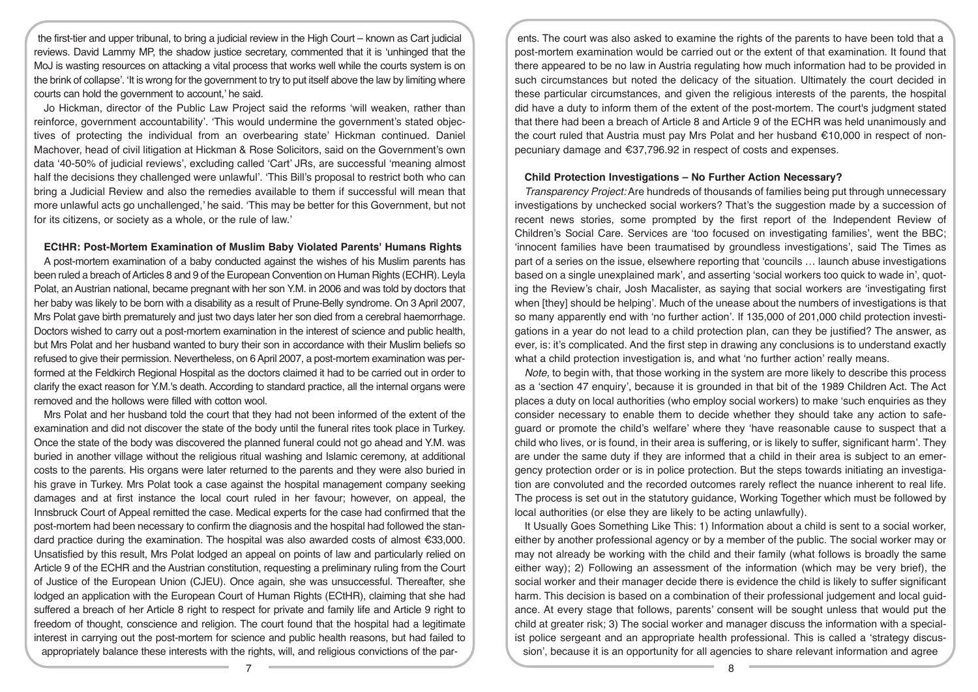the first-tier and upper tribunal, to bring a judicial review in the High Court – known as Cart judicial reviews. David Lammy MP, the shadow justice secretary, commented that it is 'unhinged that the MoJ is wasting resources on attacking a vital process that works well while the courts system is on the brink of collapse'. 'It is wrong for the government to try to put itself above the law by limiting where courts can hold the government to account,' he said.

Jo Hickman, director of the Public Law Project said the reforms 'will weaken, rather than reinforce, government accountability'. 'This would undermine the government's stated objectives of protecting the individual from an overbearing state' Hickman continued. Daniel Machover, head of civil litigation at Hickman & Rose Solicitors, said on the Government's own data '40-50% of judicial reviews', excluding called 'Cart' JRs, are successful 'meaning almost half the decisions they challenged were unlawful'. 'This Bill's proposal to restrict both who can bring a Judicial Review and also the remedies available to them if successful will mean that more unlawful acts go unchallenged,' he said. 'This may be better for this Government, but not for its citizens, or society as a whole, or the rule of law.'

#### **ECtHR: Post-Mortem Examination of Muslim Baby Violated Parents' Humans Rights**

A post-mortem examination of a baby conducted against the wishes of his Muslim parents has been ruled a breach of Articles 8 and 9 of the European Convention on Human Rights (ECHR). Leyla Polat, an Austrian national, became pregnant with her son Y.M. in 2006 and was told by doctors that her baby was likely to be born with a disability as a result of Prune-Belly syndrome. On 3 April 2007, Mrs Polat gave birth prematurely and just two days later her son died from a cerebral haemorrhage. Doctors wished to carry out a post-mortem examination in the interest of science and public health, but Mrs Polat and her husband wanted to bury their son in accordance with their Muslim beliefs so refused to give their permission. Nevertheless, on 6 April 2007, a post-mortem examination was performed at the Feldkirch Regional Hospital as the doctors claimed it had to be carried out in order to clarify the exact reason for Y.M.'s death. According to standard practice, all the internal organs were removed and the hollows were filled with cotton wool.

Mrs Polat and her husband told the court that they had not been informed of the extent of the examination and did not discover the state of the body until the funeral rites took place in Turkey. Once the state of the body was discovered the planned funeral could not go ahead and Y.M. was buried in another village without the religious ritual washing and Islamic ceremony, at additional costs to the parents. His organs were later returned to the parents and they were also buried in his grave in Turkey. Mrs Polat took a case against the hospital management company seeking damages and at first instance the local court ruled in her favour; however, on appeal, the Innsbruck Court of Appeal remitted the case. Medical experts for the case had confirmed that the post-mortem had been necessary to confirm the diagnosis and the hospital had followed the standard practice during the examination. The hospital was also awarded costs of almost €33,000. Unsatisfied by this result, Mrs Polat lodged an appeal on points of law and particularly relied on Article 9 of the ECHR and the Austrian constitution, requesting a preliminary ruling from the Court of Justice of the European Union (CJEU). Once again, she was unsuccessful. Thereafter, she lodged an application with the European Court of Human Rights (ECtHR), claiming that she had suffered a breach of her Article 8 right to respect for private and family life and Article 9 right to freedom of thought, conscience and religion. The court found that the hospital had a legitimate interest in carrying out the post-mortem for science and public health reasons, but had failed to appropriately balance these interests with the rights, will, and religious convictions of the par-

ents. The court was also asked to examine the rights of the parents to have been told that a post-mortem examination would be carried out or the extent of that examination. It found that there appeared to be no law in Austria regulating how much information had to be provided in such circumstances but noted the delicacy of the situation. Ultimately the court decided in these particular circumstances, and given the religious interests of the parents, the hospital did have a duty to inform them of the extent of the post-mortem. The court's judgment stated that there had been a breach of Article 8 and Article 9 of the ECHR was held unanimously and the court ruled that Austria must pay Mrs Polat and her husband €10,000 in respect of nonpecuniary damage and €37,796.92 in respect of costs and expenses.

#### **Child Protection Investigations – No Further Action Necessary?**

*Transparency Project:* Are hundreds of thousands of families being put through unnecessary investigations by unchecked social workers? That's the suggestion made by a succession of recent news stories, some prompted by the first report of the Independent Review of Children's Social Care. Services are 'too focused on investigating families', went the BBC; 'innocent families have been traumatised by groundless investigations', said The Times as part of a series on the issue, elsewhere reporting that 'councils … launch abuse investigations based on a single unexplained mark', and asserting 'social workers too quick to wade in', quoting the Review's chair, Josh Macalister, as saying that social workers are 'investigating first when [they] should be helping'. Much of the unease about the numbers of investigations is that so many apparently end with 'no further action'. If 135,000 of 201,000 child protection investigations in a year do not lead to a child protection plan, can they be justified? The answer, as ever, is: it's complicated. And the first step in drawing any conclusions is to understand exactly what a child protection investigation is, and what 'no further action' really means.

*Note,* to begin with, that those working in the system are more likely to describe this process as a 'section 47 enquiry', because it is grounded in that bit of the 1989 Children Act. The Act places a duty on local authorities (who employ social workers) to make 'such enquiries as they consider necessary to enable them to decide whether they should take any action to safeguard or promote the child's welfare' where they 'have reasonable cause to suspect that a child who lives, or is found, in their area is suffering, or is likely to suffer, significant harm'. They are under the same duty if they are informed that a child in their area is subject to an emergency protection order or is in police protection. But the steps towards initiating an investigation are convoluted and the recorded outcomes rarely reflect the nuance inherent to real life. The process is set out in the statutory guidance, Working Together which must be followed by local authorities (or else they are likely to be acting unlawfully).

It Usually Goes Something Like This: 1) Information about a child is sent to a social worker, either by another professional agency or by a member of the public. The social worker may or may not already be working with the child and their family (what follows is broadly the same either way); 2) Following an assessment of the information (which may be very brief), the social worker and their manager decide there is evidence the child is likely to suffer significant harm. This decision is based on a combination of their professional judgement and local guidance. At every stage that follows, parents' consent will be sought unless that would put the child at greater risk; 3) The social worker and manager discuss the information with a specialist police sergeant and an appropriate health professional. This is called a 'strategy discussion', because it is an opportunity for all agencies to share relevant information and agree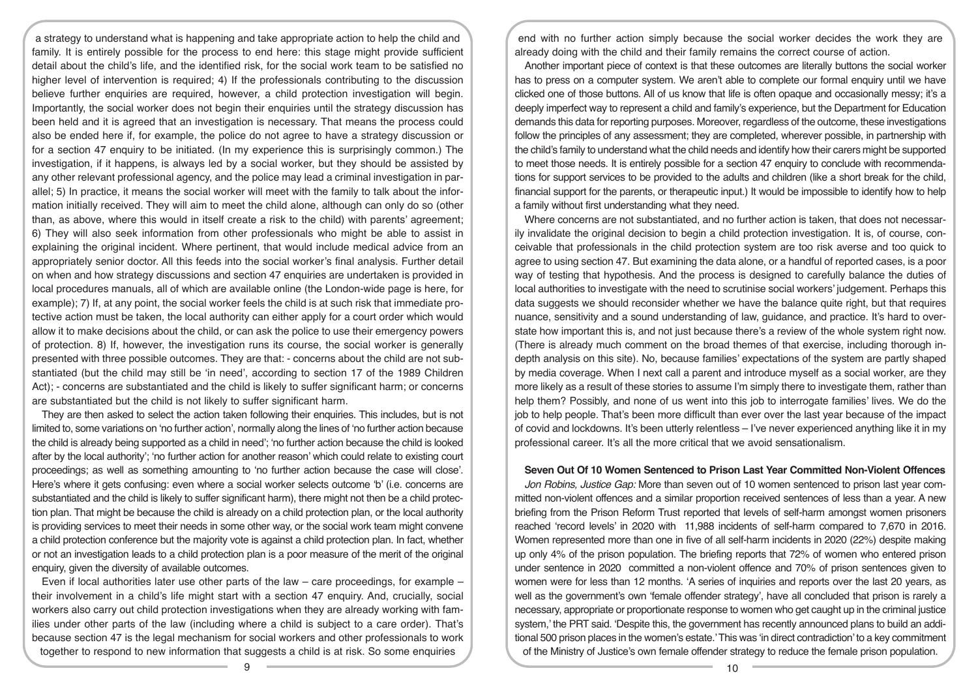a strategy to understand what is happening and take appropriate action to help the child and family. It is entirely possible for the process to end here: this stage might provide sufficient detail about the child's life, and the identified risk, for the social work team to be satisfied no higher level of intervention is required; 4) If the professionals contributing to the discussion believe further enquiries are required, however, a child protection investigation will begin. Importantly, the social worker does not begin their enquiries until the strategy discussion has been held and it is agreed that an investigation is necessary. That means the process could also be ended here if, for example, the police do not agree to have a strategy discussion or for a section 47 enquiry to be initiated. (In my experience this is surprisingly common.) The investigation, if it happens, is always led by a social worker, but they should be assisted by any other relevant professional agency, and the police may lead a criminal investigation in parallel; 5) In practice, it means the social worker will meet with the family to talk about the information initially received. They will aim to meet the child alone, although can only do so (other than, as above, where this would in itself create a risk to the child) with parents' agreement; 6) They will also seek information from other professionals who might be able to assist in explaining the original incident. Where pertinent, that would include medical advice from an appropriately senior doctor. All this feeds into the social worker's final analysis. Further detail on when and how strategy discussions and section 47 enquiries are undertaken is provided in local procedures manuals, all of which are available online (the London-wide page is here, for example); 7) If, at any point, the social worker feels the child is at such risk that immediate protective action must be taken, the local authority can either apply for a court order which would allow it to make decisions about the child, or can ask the police to use their emergency powers of protection. 8) If, however, the investigation runs its course, the social worker is generally presented with three possible outcomes. They are that: - concerns about the child are not substantiated (but the child may still be 'in need', according to section 17 of the 1989 Children Act); - concerns are substantiated and the child is likely to suffer significant harm; or concerns are substantiated but the child is not likely to suffer significant harm.

They are then asked to select the action taken following their enquiries. This includes, but is not limited to, some variations on 'no further action', normally along the lines of 'no further action because the child is already being supported as a child in need'; 'no further action because the child is looked after by the local authority'; 'no further action for another reason' which could relate to existing court proceedings; as well as something amounting to 'no further action because the case will close'. Here's where it gets confusing: even where a social worker selects outcome 'b' (i.e. concerns are substantiated and the child is likely to suffer significant harm), there might not then be a child protection plan. That might be because the child is already on a child protection plan, or the local authority is providing services to meet their needs in some other way, or the social work team might convene a child protection conference but the majority vote is against a child protection plan. In fact, whether or not an investigation leads to a child protection plan is a poor measure of the merit of the original enquiry, given the diversity of available outcomes.

Even if local authorities later use other parts of the law – care proceedings, for example – their involvement in a child's life might start with a section 47 enquiry. And, crucially, social workers also carry out child protection investigations when they are already working with families under other parts of the law (including where a child is subject to a care order). That's because section 47 is the legal mechanism for social workers and other professionals to work together to respond to new information that suggests a child is at risk. So some enquiries

end with no further action simply because the social worker decides the work they are already doing with the child and their family remains the correct course of action.

Another important piece of context is that these outcomes are literally buttons the social worker has to press on a computer system. We aren't able to complete our formal enquiry until we have clicked one of those buttons. All of us know that life is often opaque and occasionally messy; it's a deeply imperfect way to represent a child and family's experience, but the Department for Education demands this data for reporting purposes. Moreover, regardless of the outcome, these investigations follow the principles of any assessment; they are completed, wherever possible, in partnership with the child's family to understand what the child needs and identify how their carers might be supported to meet those needs. It is entirely possible for a section 47 enquiry to conclude with recommendations for support services to be provided to the adults and children (like a short break for the child, financial support for the parents, or therapeutic input.) It would be impossible to identify how to help a family without first understanding what they need.

Where concerns are not substantiated, and no further action is taken, that does not necessarily invalidate the original decision to begin a child protection investigation. It is, of course, conceivable that professionals in the child protection system are too risk averse and too quick to agree to using section 47. But examining the data alone, or a handful of reported cases, is a poor way of testing that hypothesis. And the process is designed to carefully balance the duties of local authorities to investigate with the need to scrutinise social workers' judgement. Perhaps this data suggests we should reconsider whether we have the balance quite right, but that requires nuance, sensitivity and a sound understanding of law, guidance, and practice. It's hard to overstate how important this is, and not just because there's a review of the whole system right now. (There is already much comment on the broad themes of that exercise, including thorough indepth analysis on this site). No, because families' expectations of the system are partly shaped by media coverage. When I next call a parent and introduce myself as a social worker, are they more likely as a result of these stories to assume I'm simply there to investigate them, rather than help them? Possibly, and none of us went into this job to interrogate families' lives. We do the job to help people. That's been more difficult than ever over the last year because of the impact of covid and lockdowns. It's been utterly relentless – I've never experienced anything like it in my professional career. It's all the more critical that we avoid sensationalism.

# **Seven Out Of 10 Women Sentenced to Prison Last Year Committed Non-Violent Offences**

*Jon Robins, Justice Gap:* More than seven out of 10 women sentenced to prison last year committed non-violent offences and a similar proportion received sentences of less than a year. A new briefing from the Prison Reform Trust reported that levels of self-harm amongst women prisoners reached 'record levels' in 2020 with 11,988 incidents of self-harm compared to 7,670 in 2016. Women represented more than one in five of all self-harm incidents in 2020 (22%) despite making up only 4% of the prison population. The briefing reports that 72% of women who entered prison under sentence in 2020 committed a non-violent offence and 70% of prison sentences given to women were for less than 12 months. 'A series of inquiries and reports over the last 20 years, as well as the government's own 'female offender strategy', have all concluded that prison is rarely a necessary, appropriate or proportionate response to women who get caught up in the criminal justice system,' the PRT said. 'Despite this, the government has recently announced plans to build an additional 500 prison places in the women's estate.' This was 'in direct contradiction' to a key commitment of the Ministry of Justice's own female offender strategy to reduce the female prison population.